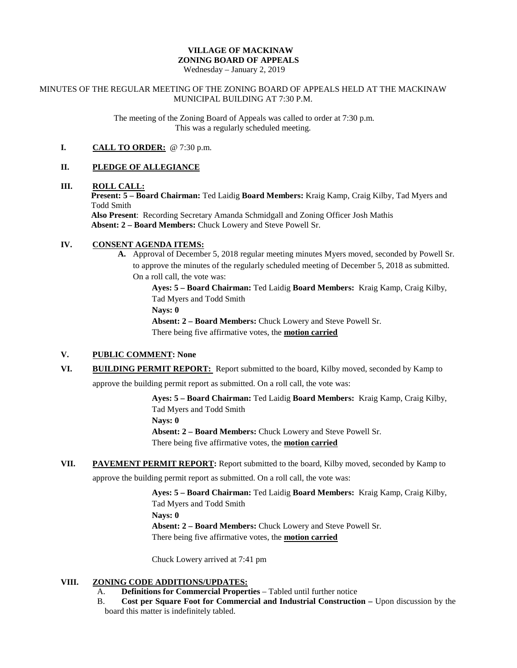# **VILLAGE OF MACKINAW ZONING BOARD OF APPEALS**

Wednesday – January 2, 2019

#### MINUTES OF THE REGULAR MEETING OF THE ZONING BOARD OF APPEALS HELD AT THE MACKINAW MUNICIPAL BUILDING AT 7:30 P.M.

The meeting of the Zoning Board of Appeals was called to order at 7:30 p.m. This was a regularly scheduled meeting.

## **I. CALL TO ORDER:** @ 7:30 p.m.

## **II. PLEDGE OF ALLEGIANCE**

# **III. ROLL CALL:**

**Present: 5 – Board Chairman:** Ted Laidig **Board Members:** Kraig Kamp, Craig Kilby, Tad Myers and Todd Smith

**Also Present**: Recording Secretary Amanda Schmidgall and Zoning Officer Josh Mathis **Absent: 2 – Board Members:** Chuck Lowery and Steve Powell Sr.

## **IV. CONSENT AGENDA ITEMS:**

**A.** Approval of December 5, 2018 regular meeting minutes Myers moved, seconded by Powell Sr. to approve the minutes of the regularly scheduled meeting of December 5, 2018 as submitted. On a roll call, the vote was:

> **Ayes: 5 – Board Chairman:** Ted Laidig **Board Members:** Kraig Kamp, Craig Kilby, Tad Myers and Todd Smith

**Nays: 0**

**Absent: 2 – Board Members:** Chuck Lowery and Steve Powell Sr. There being five affirmative votes, the **motion carried**

## **V. PUBLIC COMMENT: None**

**VI. BUILDING PERMIT REPORT:** Report submitted to the board, Kilby moved, seconded by Kamp to

approve the building permit report as submitted. On a roll call, the vote was:

**Ayes: 5 – Board Chairman:** Ted Laidig **Board Members:** Kraig Kamp, Craig Kilby, Tad Myers and Todd Smith

**Nays: 0**

**Absent: 2 – Board Members:** Chuck Lowery and Steve Powell Sr. There being five affirmative votes, the **motion carried**

**VII. PAVEMENT PERMIT REPORT:** Report submitted to the board, Kilby moved, seconded by Kamp to

approve the building permit report as submitted. On a roll call, the vote was:

**Ayes: 5 – Board Chairman:** Ted Laidig **Board Members:** Kraig Kamp, Craig Kilby, Tad Myers and Todd Smith

**Nays: 0**

**Absent: 2 – Board Members:** Chuck Lowery and Steve Powell Sr.

There being five affirmative votes, the **motion carried**

Chuck Lowery arrived at 7:41 pm

## **VIII. ZONING CODE ADDITIONS/UPDATES:**

- A. **Definitions for Commercial Properties** Tabled until further notice
- B. **Cost per Square Foot for Commercial and Industrial Construction –** Upon discussion by the board this matter is indefinitely tabled.